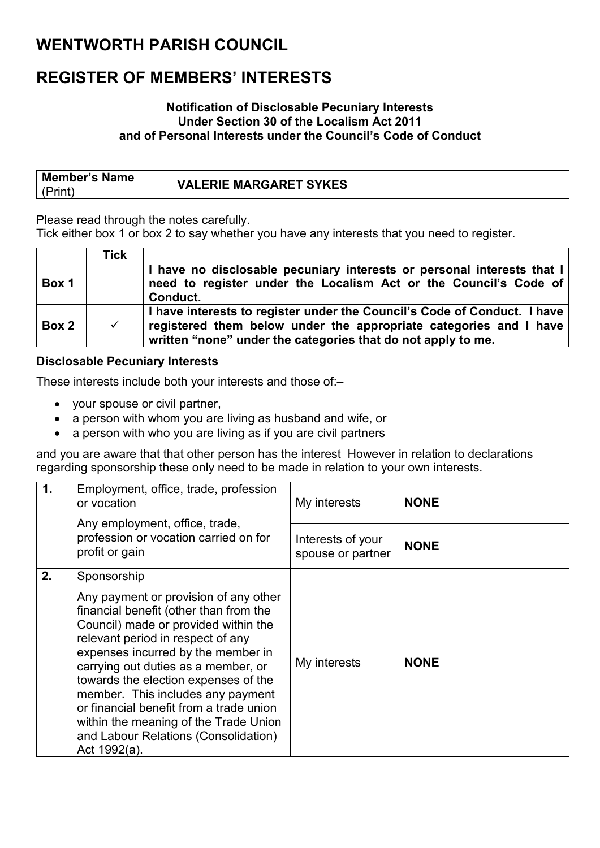### **WENTWORTH PARISH COUNCIL**

### **REGISTER OF MEMBERS' INTERESTS**

#### **Notification of Disclosable Pecuniary Interests Under Section 30 of the Localism Act 2011 and of Personal Interests under the Council's Code of Conduct**

| <b>Member's Name</b> | <b>VALERIE MARGARET SYKES</b> |
|----------------------|-------------------------------|
| (Print               |                               |

Please read through the notes carefully.

Tick either box 1 or box 2 to say whether you have any interests that you need to register.

|       | Tick         |                                                                                                                                                                                                               |
|-------|--------------|---------------------------------------------------------------------------------------------------------------------------------------------------------------------------------------------------------------|
| Box 1 |              | I have no disclosable pecuniary interests or personal interests that I<br>need to register under the Localism Act or the Council's Code of<br>Conduct.                                                        |
| Box 2 | $\checkmark$ | I have interests to register under the Council's Code of Conduct. I have<br>registered them below under the appropriate categories and I have<br>written "none" under the categories that do not apply to me. |

#### **Disclosable Pecuniary Interests**

These interests include both your interests and those of:–

- your spouse or civil partner,
- a person with whom you are living as husband and wife, or
- a person with who you are living as if you are civil partners

and you are aware that that other person has the interest However in relation to declarations regarding sponsorship these only need to be made in relation to your own interests.

| $\mathbf 1$ .<br>Employment, office, trade, profession<br>or vocation                                                                                                                                                                                                                                                                                                                                                                                                   | My interests                           | <b>NONE</b><br><b>NONE</b> |  |
|-------------------------------------------------------------------------------------------------------------------------------------------------------------------------------------------------------------------------------------------------------------------------------------------------------------------------------------------------------------------------------------------------------------------------------------------------------------------------|----------------------------------------|----------------------------|--|
| Any employment, office, trade,<br>profession or vocation carried on for<br>profit or gain                                                                                                                                                                                                                                                                                                                                                                               | Interests of your<br>spouse or partner |                            |  |
| 2.<br>Sponsorship<br>Any payment or provision of any other<br>financial benefit (other than from the<br>Council) made or provided within the<br>relevant period in respect of any<br>expenses incurred by the member in<br>carrying out duties as a member, or<br>towards the election expenses of the<br>member. This includes any payment<br>or financial benefit from a trade union<br>within the meaning of the Trade Union<br>and Labour Relations (Consolidation) | My interests                           | <b>NONE</b>                |  |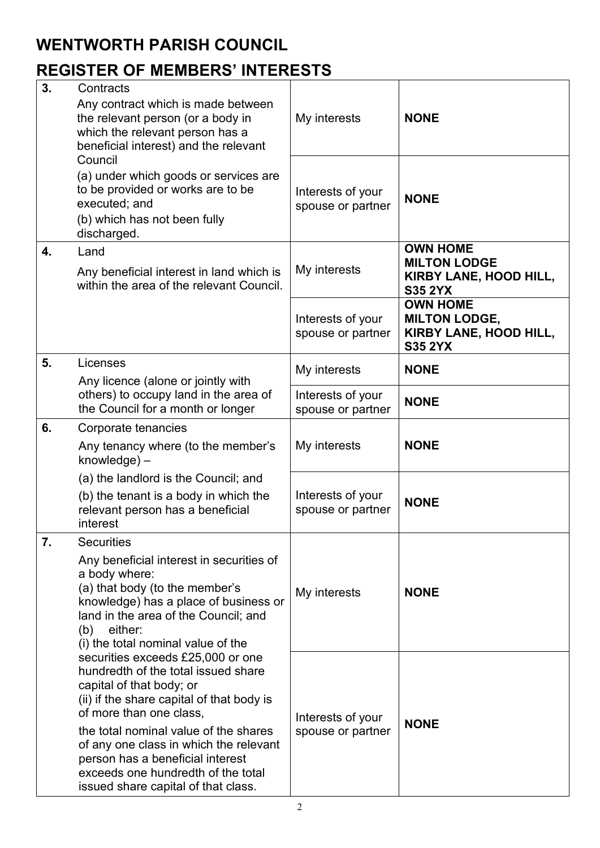### **WENTWORTH PARISH COUNCIL**

## **REGISTER OF MEMBERS' INTERESTS**

| 3. | Contracts<br>Any contract which is made between<br>the relevant person (or a body in<br>which the relevant person has a<br>beneficial interest) and the relevant                                                                                                                                                                                                                 | My interests                           | <b>NONE</b>                                                                               |  |
|----|----------------------------------------------------------------------------------------------------------------------------------------------------------------------------------------------------------------------------------------------------------------------------------------------------------------------------------------------------------------------------------|----------------------------------------|-------------------------------------------------------------------------------------------|--|
|    | Council<br>(a) under which goods or services are<br>to be provided or works are to be<br>executed; and<br>(b) which has not been fully<br>discharged.                                                                                                                                                                                                                            | Interests of your<br>spouse or partner | <b>NONE</b>                                                                               |  |
| 4. | Land<br>Any beneficial interest in land which is<br>within the area of the relevant Council.                                                                                                                                                                                                                                                                                     | My interests                           | <b>OWN HOME</b><br><b>MILTON LODGE</b><br><b>KIRBY LANE, HOOD HILL,</b><br><b>S35 2YX</b> |  |
|    |                                                                                                                                                                                                                                                                                                                                                                                  | Interests of your<br>spouse or partner | <b>OWN HOME</b><br><b>MILTON LODGE,</b><br>KIRBY LANE, HOOD HILL,<br><b>S35 2YX</b>       |  |
| 5. | Licenses<br>Any licence (alone or jointly with                                                                                                                                                                                                                                                                                                                                   | My interests                           | <b>NONE</b>                                                                               |  |
|    | others) to occupy land in the area of<br>the Council for a month or longer                                                                                                                                                                                                                                                                                                       | Interests of your<br>spouse or partner | <b>NONE</b>                                                                               |  |
| 6. | Corporate tenancies<br>Any tenancy where (to the member's<br>$k$ nowledge $)$ –                                                                                                                                                                                                                                                                                                  | My interests                           | <b>NONE</b>                                                                               |  |
|    | (a) the landlord is the Council; and<br>(b) the tenant is a body in which the<br>relevant person has a beneficial<br>interest                                                                                                                                                                                                                                                    | Interests of your<br>spouse or partner | <b>NONE</b>                                                                               |  |
| 7. | <b>Securities</b><br>Any beneficial interest in securities of<br>a body where:<br>(a) that body (to the member's<br>knowledge) has a place of business or<br>land in the area of the Council; and<br>either:<br>(b)<br>(i) the total nominal value of the                                                                                                                        | My interests                           | <b>NONE</b>                                                                               |  |
|    | securities exceeds £25,000 or one<br>hundredth of the total issued share<br>capital of that body; or<br>(ii) if the share capital of that body is<br>of more than one class,<br>the total nominal value of the shares<br>of any one class in which the relevant<br>person has a beneficial interest<br>exceeds one hundredth of the total<br>issued share capital of that class. | Interests of your<br>spouse or partner | <b>NONE</b>                                                                               |  |